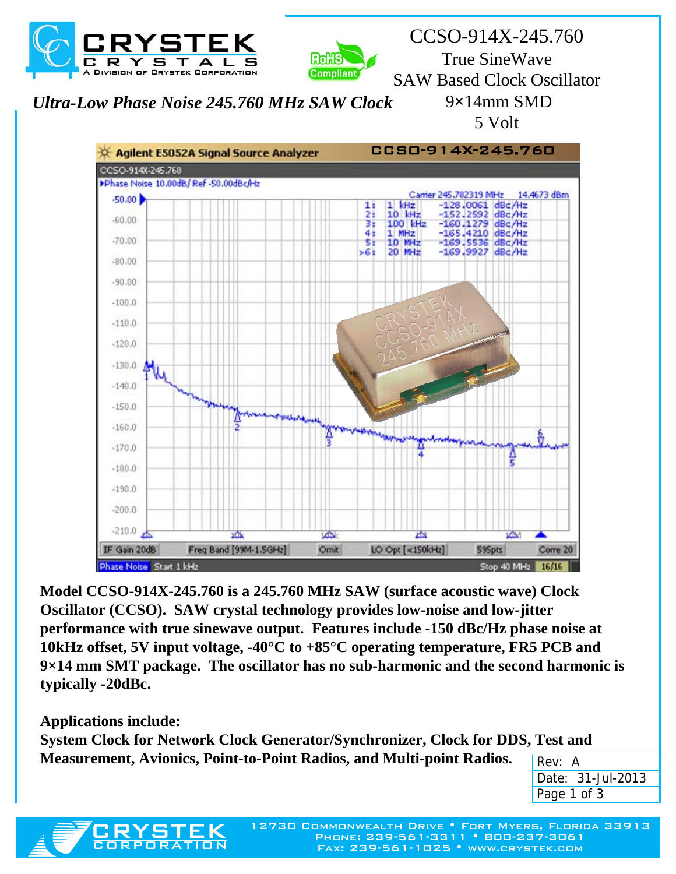



CCSO-914X-245.760 True SineWave SAW Based Clock Oscillator 9**×**14mm SMD 5 Volt

*Ultra-Low Phase Noise 245.760 MHz SAW Clock*



**Model CCSO-914X-245.760 is a 245.760 MHz SAW (surface acoustic wave) Clock Oscillator (CCSO). SAW crystal technology provides low-noise and low-jitter performance with true sinewave output. Features include -150 dBc/Hz phase noise at 10kHz offset, 5V input voltage, -40°C to +85°C operating temperature, FR5 PCB and 9×14 mm SMT package. The oscillator has no sub-harmonic and the second harmonic is typically -20dBc.**

**Applications include:**

CRYSTEK

**System Clock for Network Clock Generator/Synchronizer, Clock for DDS, Test and Measurement, Avionics, Point-to-Point Radios, and Multi-point Radios.**

| Rev: A            |
|-------------------|
| Date: 31-Jul-2013 |
| Page 1 of 3       |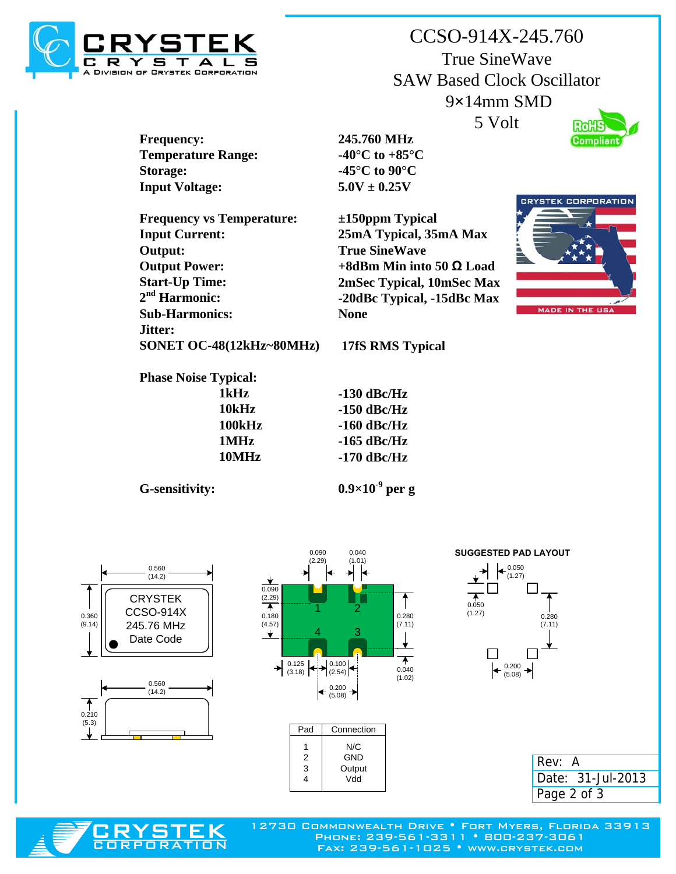

CCSO-914X-245.760 True SineWave SAW Based Clock Oscillator 9**×**14mm SMD 5 Volt **Rox** 



**Frequency: Temperature Range: Storage: Input Voltage:**

**Frequency vs Temperature: Input Current: Output: Output Power: Start-Up Time: 2nd Harmonic: Sub-Harmonics: Jitter: SONET OC-48(12kHz~80MHz)**  **245.760 MHz -40°C to +85°C -45°C to 90°C 5.0V ± 0.25V**

**±150ppm Typical 25mA Typical, 35mA Max True SineWave +8dBm Min into 50 Ω Load 2mSec Typical, 10mSec Max -20dBc Typical, -15dBc Max None**



**Phase Noise Typical:**

| 1kHz   |  |
|--------|--|
| 10kHz  |  |
| 100kHz |  |
| 1MHz   |  |
| 10MHz  |  |

**-130 dBc/Hz -150 dBc/Hz -160 dBc/Hz -165 dBc/Hz**

**-170 dBc/Hz**

**17fS RMS Typical**

**G-sensitivity:**

**0.9×10-9 per g**







| Pad | Connection |
|-----|------------|
|     | N/C        |
| 2   | GND        |
| 3   | Output     |
| 4   | Vdd        |
|     |            |







Phone: 239-561-3311 • 800-237-3061 Fax: 239-561-1025 • www.crystek.com